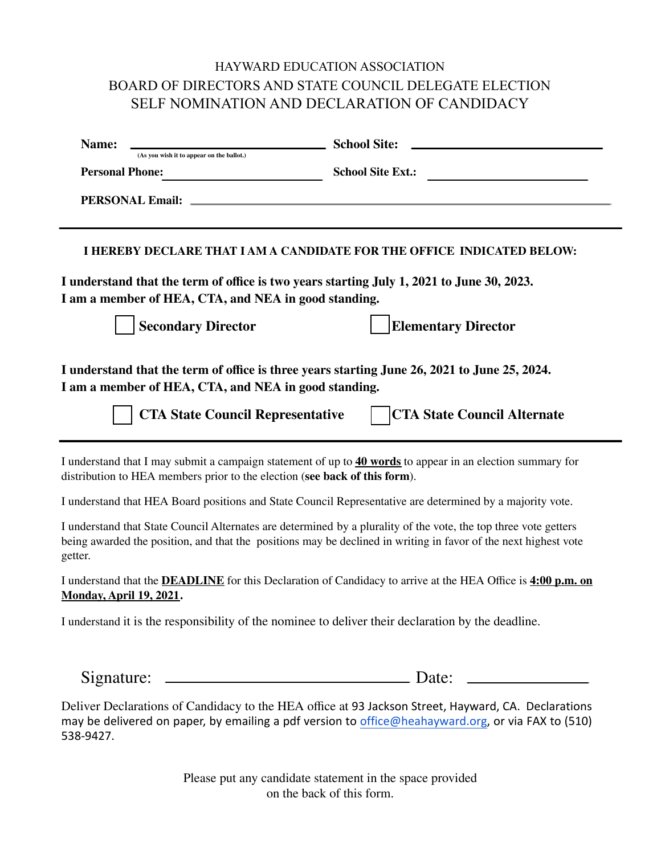## HAYWARD EDUCATION ASSOCIATION BOARD OF DIRECTORS AND STATE COUNCIL DELEGATE ELECTION SELF NOMINATION AND DECLARATION OF CANDIDACY

| Name:<br>(As you wish it to appear on the ballot.)                                                                                                                                                                                             | <b>School Site:</b>        |  |
|------------------------------------------------------------------------------------------------------------------------------------------------------------------------------------------------------------------------------------------------|----------------------------|--|
| <b>Personal Phone:</b>                                                                                                                                                                                                                         | <b>School Site Ext.:</b>   |  |
| <b>PERSONAL Email:</b>                                                                                                                                                                                                                         |                            |  |
| I HEREBY DECLARE THAT I AM A CANDIDATE FOR THE OFFICE INDICATED BELOW:                                                                                                                                                                         |                            |  |
| I understand that the term of office is two years starting July 1, 2021 to June 30, 2023.<br>I am a member of HEA, CTA, and NEA in good standing.                                                                                              |                            |  |
| <b>Secondary Director</b>                                                                                                                                                                                                                      | <b>Elementary Director</b> |  |
| I understand that the term of office is three years starting June 26, 2021 to June 25, 2024.<br>I am a member of HEA, CTA, and NEA in good standing.<br><b>CTA State Council Alternate</b><br><b>CTA State Council Representative</b>          |                            |  |
| I understand that I may submit a campaign statement of up to 40 words to appear in an election summary for<br>distribution to HEA members prior to the election (see back of this form).                                                       |                            |  |
| I understand that HEA Board positions and State Council Representative are determined by a majority vote.                                                                                                                                      |                            |  |
| I understand that State Council Alternates are determined by a plurality of the vote, the top three vote getters<br>being awarded the position, and that the positions may be declined in writing in favor of the next highest vote<br>getter. |                            |  |
| I understand that the <b>DEADLINE</b> for this Declaration of Candidacy to arrive at the HEA Office is 4:00 p.m. on<br><b>Monday, April 19, 2021.</b>                                                                                          |                            |  |
| I understand it is the responsibility of the nominee to deliver their declaration by the deadline.                                                                                                                                             |                            |  |
|                                                                                                                                                                                                                                                |                            |  |

Deliver Declarations of Candidacy to the HEA office at 93 Jackson Street, Hayward, CA. Declarations may be delivered on paper, by emailing a pdf version to [office@heahayward.org](mailto:office@heahayward.org), or via FAX to (510) 538-9427.

> Please put any candidate statement in the space provided on the back of this form.